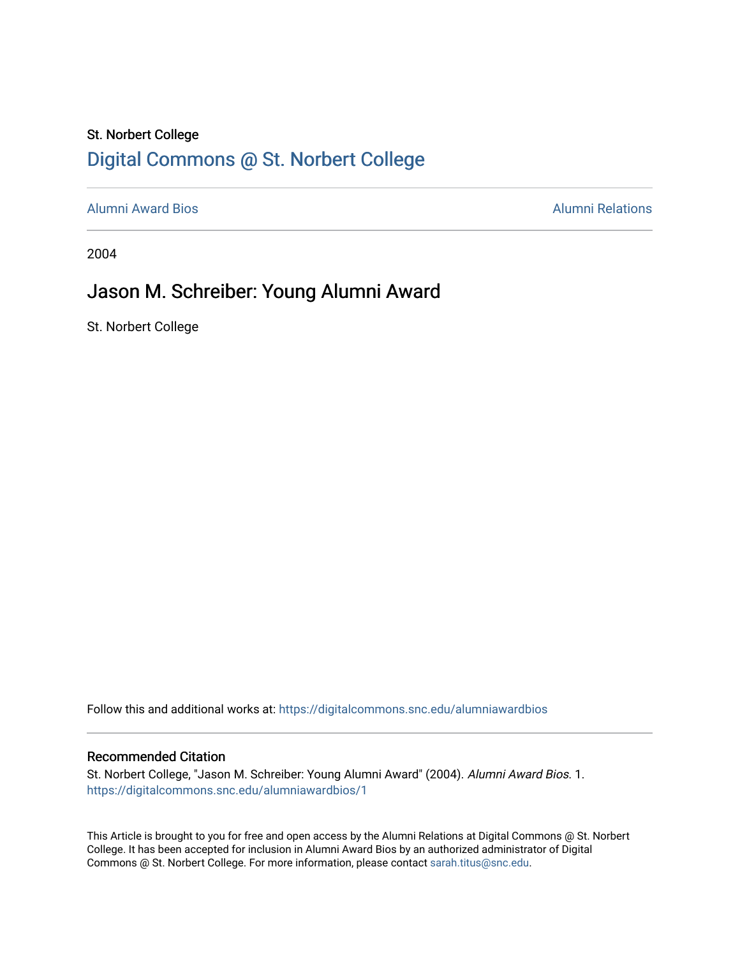## St. Norbert College [Digital Commons @ St. Norbert College](https://digitalcommons.snc.edu/)

[Alumni Award Bios](https://digitalcommons.snc.edu/alumniawardbios) [Alumni Relations](https://digitalcommons.snc.edu/alumni) 

2004

# Jason M. Schreiber: Young Alumni Award

St. Norbert College

Follow this and additional works at: [https://digitalcommons.snc.edu/alumniawardbios](https://digitalcommons.snc.edu/alumniawardbios?utm_source=digitalcommons.snc.edu%2Falumniawardbios%2F1&utm_medium=PDF&utm_campaign=PDFCoverPages)

#### Recommended Citation

St. Norbert College, "Jason M. Schreiber: Young Alumni Award" (2004). Alumni Award Bios. 1. [https://digitalcommons.snc.edu/alumniawardbios/1](https://digitalcommons.snc.edu/alumniawardbios/1?utm_source=digitalcommons.snc.edu%2Falumniawardbios%2F1&utm_medium=PDF&utm_campaign=PDFCoverPages)

This Article is brought to you for free and open access by the Alumni Relations at Digital Commons @ St. Norbert College. It has been accepted for inclusion in Alumni Award Bios by an authorized administrator of Digital Commons @ St. Norbert College. For more information, please contact [sarah.titus@snc.edu.](mailto:sarah.titus@snc.edu)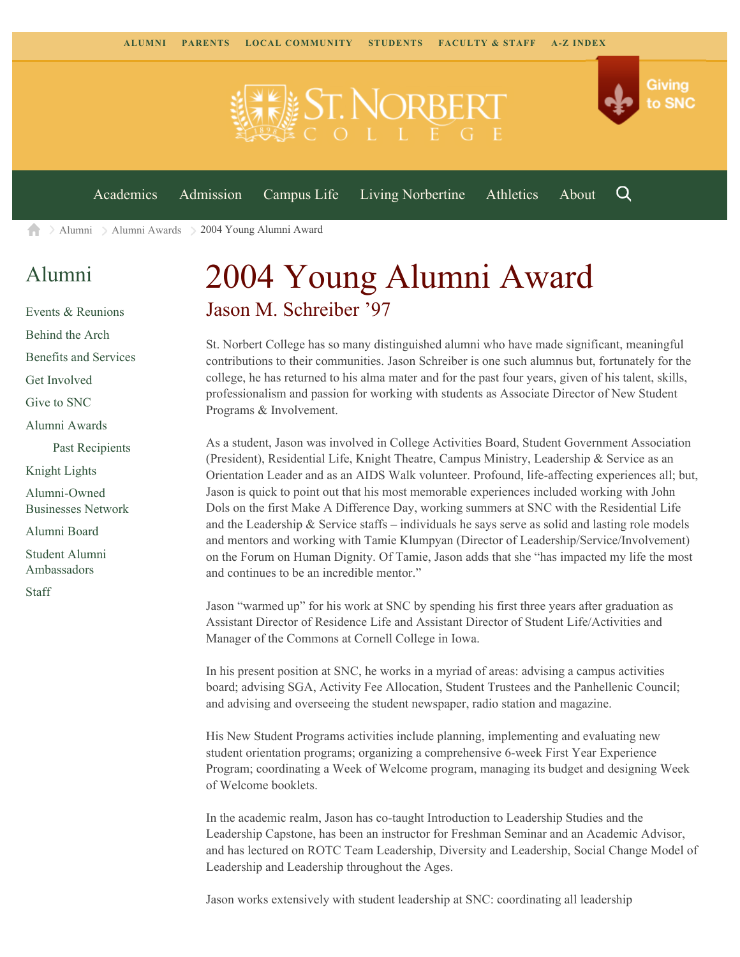

[Alumni](https://www.snc.edu/alumni/) [Alumni Awards](https://www.snc.edu/alumni/awards/) 2004 Young Alumni Award A

### [Alumni](https://www.snc.edu/alumni/index.html)

[Events & Reunions](https://www.snc.edu/alumni/event/index.html) [Behind the Arch](https://www.snc.edu/alumni/event/behindthearch/) [Benefits and Services](https://www.snc.edu/alumni/benefits.html) [Get Involved](https://www.snc.edu/alumni/getinvolved.html) [Give to SNC](http://giving.snc.edu/) [Alumni Awards](https://www.snc.edu/alumni/awards/index.html) [Past Recipients](https://www.snc.edu/alumni/awards/recipients.html) [Knight Lights](https://www.snc.edu/alumni/knightlights/index.html) [Alumni-Owned](https://www.snc.edu/alumni/directory/index.html) [Businesses Network](https://www.snc.edu/alumni/directory/index.html) [Alumni Board](https://www.snc.edu/alumni/alumniboard.html) [Student Alumni](https://www.snc.edu/alumni/saa.html) [Ambassadors](https://www.snc.edu/alumni/saa.html) [Staff](https://www.snc.edu/alumni/contactus.html)

# 2004 Young Alumni Award Jason M. Schreiber '97

St. Norbert College has so many distinguished alumni who have made significant, meaningful contributions to their communities. Jason Schreiber is one such alumnus but, fortunately for the college, he has returned to his alma mater and for the past four years, given of his talent, skills, professionalism and passion for working with students as Associate Director of New Student Programs & Involvement.

As a student, Jason was involved in College Activities Board, Student Government Association (President), Residential Life, Knight Theatre, Campus Ministry, Leadership & Service as an Orientation Leader and as an AIDS Walk volunteer. Profound, life-affecting experiences all; but, Jason is quick to point out that his most memorable experiences included working with John Dols on the first Make A Difference Day, working summers at SNC with the Residential Life and the Leadership  $&$  Service staffs – individuals he says serve as solid and lasting role models and mentors and working with Tamie Klumpyan (Director of Leadership/Service/Involvement) on the Forum on Human Dignity. Of Tamie, Jason adds that she "has impacted my life the most and continues to be an incredible mentor."

Jason "warmed up" for his work at SNC by spending his first three years after graduation as Assistant Director of Residence Life and Assistant Director of Student Life/Activities and Manager of the Commons at Cornell College in Iowa.

In his present position at SNC, he works in a myriad of areas: advising a campus activities board; advising SGA, Activity Fee Allocation, Student Trustees and the Panhellenic Council; and advising and overseeing the student newspaper, radio station and magazine.

His New Student Programs activities include planning, implementing and evaluating new student orientation programs; organizing a comprehensive 6-week First Year Experience Program; coordinating a Week of Welcome program, managing its budget and designing Week of Welcome booklets.

In the academic realm, Jason has co-taught Introduction to Leadership Studies and the Leadership Capstone, has been an instructor for Freshman Seminar and an Academic Advisor, and has lectured on ROTC Team Leadership, Diversity and Leadership, Social Change Model of Leadership and Leadership throughout the Ages.

Jason works extensively with student leadership at SNC: coordinating all leadership